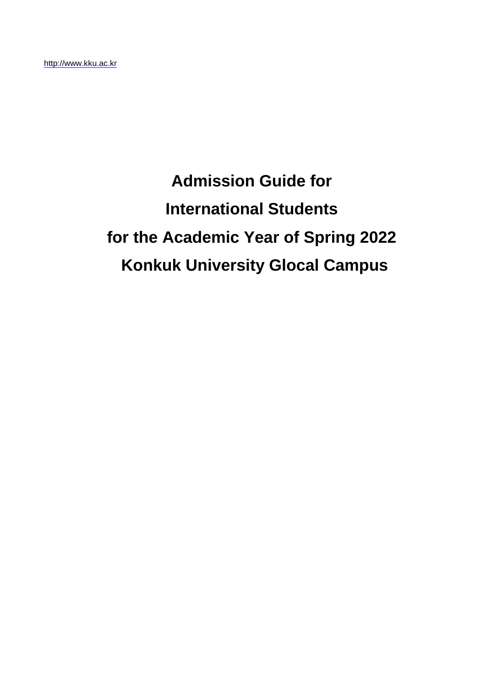# **Admission Guide for International Students for the Academic Year of Spring 2022 Konkuk University Glocal Campus**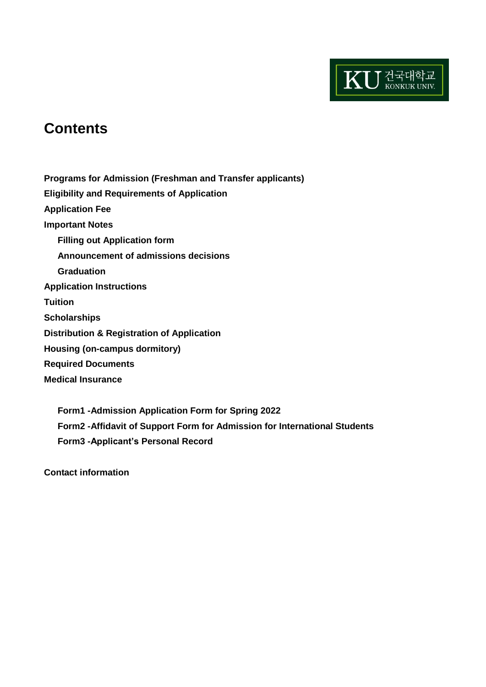

# **Contents**

**Programs for Admission (Freshman and Transfer applicants) Eligibility and Requirements of Application Application Fee Important Notes Filling out Application form Announcement of admissions decisions Graduation Application Instructions Tuition Scholarships Distribution & Registration of Application Housing (on-campus dormitory) Required Documents Medical Insurance**

**Form1 -Admission Application Form for Spring 2022 Form2 -Affidavit of Support Form for Admission for International Students Form3 -Applicant's Personal Record** 

**Contact information**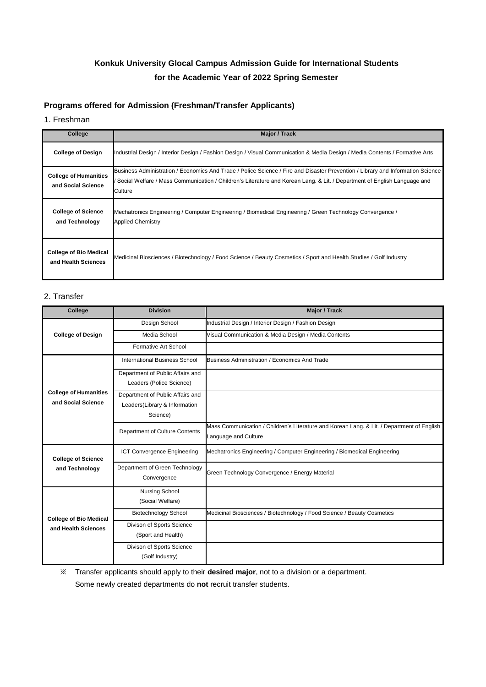# **Konkuk University Glocal Campus Admission Guide for International Students for the Academic Year of 2022 Spring Semester**

# **Programs offered for Admission (Freshman/Transfer Applicants)**

#### 1. Freshman

| College                                              | <b>Major / Track</b>                                                                                                                                                                                                                                                     |
|------------------------------------------------------|--------------------------------------------------------------------------------------------------------------------------------------------------------------------------------------------------------------------------------------------------------------------------|
| <b>College of Design</b>                             | Industrial Design / Interior Design / Fashion Design / Visual Communication & Media Design / Media Contents / Formative Arts                                                                                                                                             |
| <b>College of Humanities</b><br>and Social Science   | Business Administration / Economics And Trade / Police Science / Fire and Disaster Prevention / Library and Information Science<br>' Social Welfare / Mass Communication / Children's Literature and Korean Lang. & Lit. / Department of English Language and<br>Culture |
| <b>College of Science</b><br>and Technology          | Mechatronics Engineering / Computer Engineering / Biomedical Engineering / Green Technology Convergence /<br><b>Applied Chemistry</b>                                                                                                                                    |
| <b>College of Bio Medical</b><br>and Health Sciences | Medicinal Biosciences / Biotechnology / Food Science / Beauty Cosmetics / Sport and Health Studies / Golf Industry                                                                                                                                                       |

### 2. Transfer

| College                                              | <b>Division</b>                      | <b>Major / Track</b>                                                                       |
|------------------------------------------------------|--------------------------------------|--------------------------------------------------------------------------------------------|
| <b>College of Design</b>                             | Design School                        | Industrial Design / Interior Design / Fashion Design                                       |
|                                                      | Media School                         | Visual Communication & Media Design / Media Contents                                       |
|                                                      | Formative Art School                 |                                                                                            |
|                                                      | <b>International Business School</b> | Business Administration / Economics And Trade                                              |
|                                                      | Department of Public Affairs and     |                                                                                            |
|                                                      | Leaders (Police Science)             |                                                                                            |
| <b>College of Humanities</b>                         | Department of Public Affairs and     |                                                                                            |
| and Social Science                                   | Leaders(Library & Information        |                                                                                            |
|                                                      | Science)                             |                                                                                            |
|                                                      | Department of Culture Contents       | Mass Communication / Children's Literature and Korean Lang. & Lit. / Department of English |
|                                                      |                                      | anguage and Culture                                                                        |
| <b>College of Science</b>                            | <b>ICT Convergence Engineering</b>   | Mechatronics Engineering / Computer Engineering / Biomedical Engineering                   |
| and Technology                                       | Department of Green Technology       | Green Technology Convergence / Energy Material                                             |
|                                                      | Convergence                          |                                                                                            |
| <b>College of Bio Medical</b><br>and Health Sciences | <b>Nursing School</b>                |                                                                                            |
|                                                      | (Social Welfare)                     |                                                                                            |
|                                                      | <b>Biotechnology School</b>          | Medicinal Biosciences / Biotechnology / Food Science / Beauty Cosmetics                    |
|                                                      | Divison of Sports Science            |                                                                                            |
|                                                      | (Sport and Health)                   |                                                                                            |
|                                                      | Divison of Sports Science            |                                                                                            |
|                                                      | (Golf Industry)                      |                                                                                            |

※ Transfer applicants should apply to their **desired major**, not to a division or a department.

Some newly created departments do **not** recruit transfer students.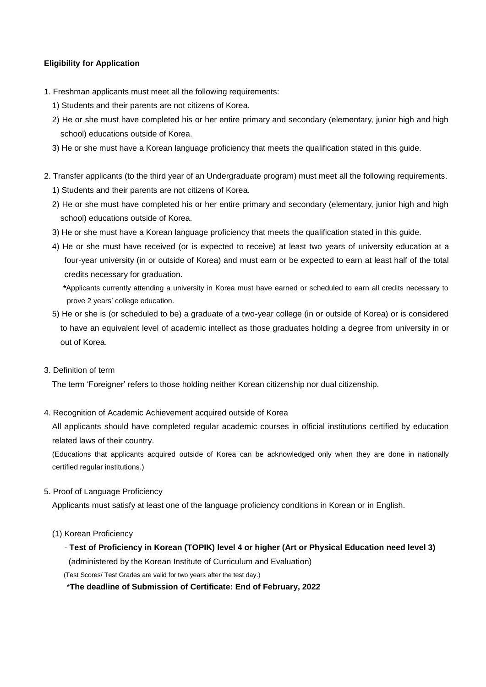# **Eligibility for Application**

- 1. Freshman applicants must meet all the following requirements:
	- 1) Students and their parents are not citizens of Korea.
	- 2) He or she must have completed his or her entire primary and secondary (elementary, junior high and high school) educations outside of Korea.
	- 3) He or she must have a Korean language proficiency that meets the qualification stated in this guide.
- 2. Transfer applicants (to the third year of an Undergraduate program) must meet all the following requirements. 1) Students and their parents are not citizens of Korea.
	- 2) He or she must have completed his or her entire primary and secondary (elementary, junior high and high school) educations outside of Korea.
	- 3) He or she must have a Korean language proficiency that meets the qualification stated in this guide.
	- 4) He or she must have received (or is expected to receive) at least two years of university education at a four-year university (in or outside of Korea) and must earn or be expected to earn at least half of the total credits necessary for graduation.

**\***Applicants currently attending a university in Korea must have earned or scheduled to earn all credits necessary to prove 2 years' college education.

5) He or she is (or scheduled to be) a graduate of a two-year college (in or outside of Korea) or is considered to have an equivalent level of academic intellect as those graduates holding a degree from university in or out of Korea.

#### 3. Definition of term

The term 'Foreigner' refers to those holding neither Korean citizenship nor dual citizenship.

4. Recognition of Academic Achievement acquired outside of Korea

All applicants should have completed regular academic courses in official institutions certified by education related laws of their country.

(Educations that applicants acquired outside of Korea can be acknowledged only when they are done in nationally certified regular institutions.)

# 5. Proof of Language Proficiency

Applicants must satisfy at least one of the language proficiency conditions in Korean or in English.

- (1) Korean Proficiency
	- **Test of Proficiency in Korean (TOPIK) level 4 or higher (Art or Physical Education need level 3)**

(administered by the Korean Institute of Curriculum and Evaluation)

(Test Scores/ Test Grades are valid for two years after the test day.)

\***The deadline of Submission of Certificate: End of February, 2022**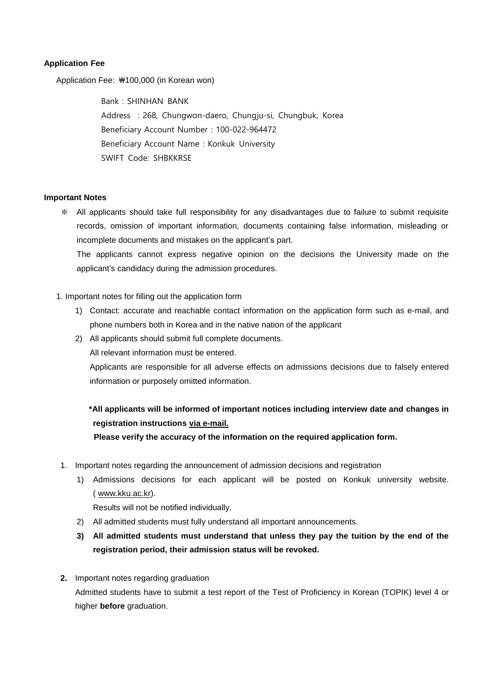# **Application Fee**

Application Fee: ₩100,000 (in Korean won)

Bank: SHINHAN BANK Address :268, Chungwon-daero, Chungju-si, Chungbuk, Korea Beneficiary Account Number:100-022-964472 Beneficiary Account Name: Konkuk University SWIFT Code: SHBKKRSE

#### **Important Notes**

※ All applicants should take full responsibility for any disadvantages due to failure to submit requisite records, omission of important information, documents containing false information, misleading or incomplete documents and mistakes on the applicant's part.

The applicants cannot express negative opinion on the decisions the University made on the applicant's candidacy during the admission procedures.

# 1. Important notes for filling out the application form

- 1) Contact: accurate and reachable contact information on the application form such as e-mail, and phone numbers both in Korea and in the native nation of the applicant
- 2) All applicants should submit full complete documents.

All relevant information must be entered.

Applicants are responsible for all adverse effects on admissions decisions due to falsely entered information or purposely omitted information.

# **\*All applicants will be informed of important notices including interview date and changes in registration instructions via e-mail.**

**Please verify the accuracy of the information on the required application form.**

- 1. Important notes regarding the announcement of admission decisions and registration
	- 1) Admissions decisions for each applicant will be posted on Konkuk university website. ( [www.kku.ac.kr\)](http://www.kku.ac.kr/).

Results will not be notified individually.

- 2) All admitted students must fully understand all important announcements.
- **3) All admitted students must understand that unless they pay the tuition by the end of the registration period, their admission status will be revoked.**
- **2.** Important notes regarding graduation Admitted students have to submit a test report of the Test of Proficiency in Korean (TOPIK) level 4 or higher **before** graduation.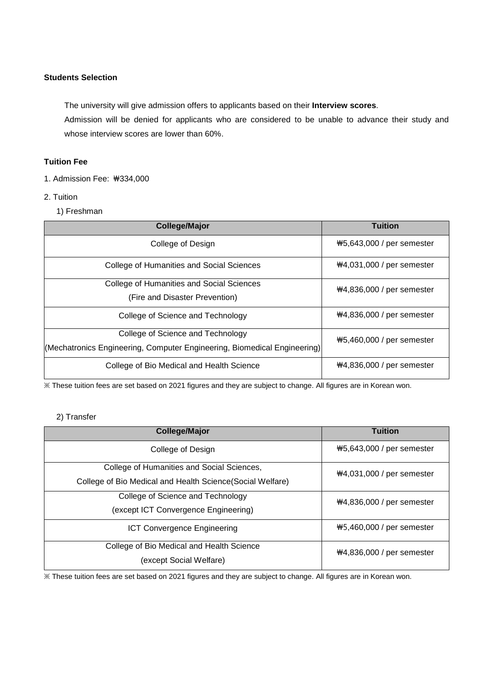# **Students Selection**

 The university will give admission offers to applicants based on their **Interview scores**. Admission will be denied for applicants who are considered to be unable to advance their study and whose interview scores are lower than 60%.

# **Tuition Fee**

1. Admission Fee: ₩334,000

# 2. Tuition

1) Freshman

| <b>College/Major</b>                                                     | <b>Tuition</b>              |  |
|--------------------------------------------------------------------------|-----------------------------|--|
| College of Design                                                        | #5,643,000 / per semester   |  |
| College of Humanities and Social Sciences                                | $#4,031,000 /$ per semester |  |
| <b>College of Humanities and Social Sciences</b>                         | ₩4,836,000 / per semester   |  |
| (Fire and Disaster Prevention)                                           |                             |  |
| College of Science and Technology                                        | ₩4,836,000 / per semester   |  |
| College of Science and Technology                                        | #5,460,000 / per semester   |  |
| (Mechatronics Engineering, Computer Engineering, Biomedical Engineering) |                             |  |
| College of Bio Medical and Health Science                                | ₩4,836,000 / per semester   |  |

※ These tuition fees are set based on 2021 figures and they are subject to change. All figures are in Korean won.

# 2) Transfer

| <b>College/Major</b>                                                                                     | <b>Tuition</b>              |
|----------------------------------------------------------------------------------------------------------|-----------------------------|
| College of Design                                                                                        | #5,643,000 / per semester   |
| College of Humanities and Social Sciences,<br>College of Bio Medical and Health Science (Social Welfare) | $#4,031,000$ / per semester |
| College of Science and Technology<br>(except ICT Convergence Engineering)                                | $#4,836,000 /$ per semester |
| <b>ICT Convergence Engineering</b>                                                                       | ₩5,460,000 / per semester   |
| College of Bio Medical and Health Science<br>(except Social Welfare)                                     | $#4,836,000 /$ per semester |

※ These tuition fees are set based on 2021 figures and they are subject to change. All figures are in Korean won.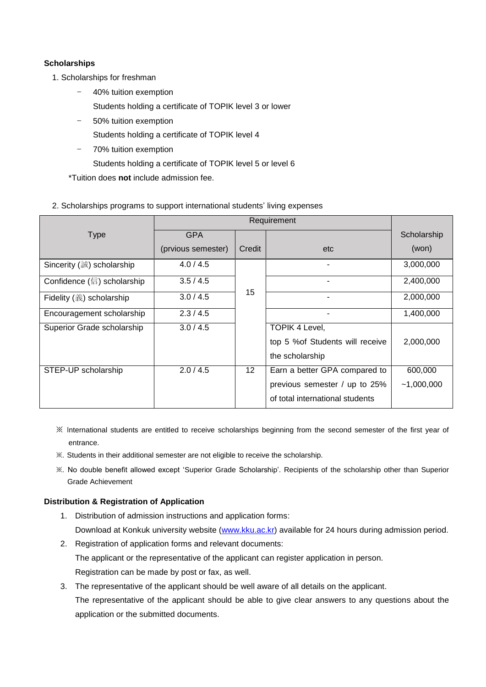# **Scholarships**

- 1. Scholarships for freshman
	- 40% tuition exemption
	- Students holding a certificate of TOPIK level 3 or lower
	- 50% tuition exemption
		- Students holding a certificate of TOPIK level 4
	- 70% tuition exemption
		- Students holding a certificate of TOPIK level 5 or level 6

\*Tuition does **not** include admission fee.

# 2. Scholarships programs to support international students' living expenses

|                            | Requirement        |        |                                  |              |
|----------------------------|--------------------|--------|----------------------------------|--------------|
| <b>Type</b>                | <b>GPA</b>         |        |                                  | Scholarship  |
|                            | (prvious semester) | Credit | etc                              | (won)        |
| Sincerity (誠) scholarship  | 4.0 / 4.5          |        |                                  | 3,000,000    |
| Confidence (信) scholarship | 3.5/4.5            |        |                                  | 2,400,000    |
| Fidelity (義) scholarship   | 3.0 / 4.5          | 15     |                                  | 2,000,000    |
| Encouragement scholarship  | 2.3/4.5            |        |                                  | 1,400,000    |
| Superior Grade scholarship | 3.0 / 4.5          |        | <b>TOPIK 4 Level,</b>            |              |
|                            |                    |        | top 5 % of Students will receive | 2,000,000    |
|                            |                    |        | the scholarship                  |              |
| STEP-UP scholarship        | 2.0/4.5            | 12     | Earn a better GPA compared to    | 600,000      |
|                            |                    |        | previous semester / up to 25%    | $-1,000,000$ |
|                            |                    |        | of total international students  |              |

- ※ International students are entitled to receive scholarships beginning from the second semester of the first year of entrance.
- ※. Students in their additional semester are not eligible to receive the scholarship.
- ※. No double benefit allowed except 'Superior Grade Scholarship'. Recipients of the scholarship other than Superior Grade Achievement

# **Distribution & Registration of Application**

- 1. Distribution of admission instructions and application forms: Download at Konkuk university website [\(www.kku.ac.kr\)](http://www.kku.ac.kr/) available for 24 hours during admission period.
- 2. Registration of application forms and relevant documents: The applicant or the representative of the applicant can register application in person. Registration can be made by post or fax, as well.
- 3. The representative of the applicant should be well aware of all details on the applicant. The representative of the applicant should be able to give clear answers to any questions about the application or the submitted documents.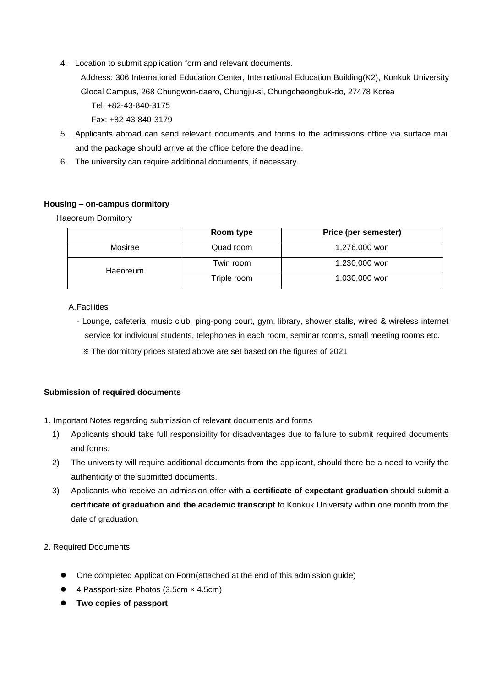- 4. Location to submit application form and relevant documents.
	- Address: 306 International Education Center, International Education Building(K2), Konkuk University Glocal Campus, 268 Chungwon-daero, Chungju-si, Chungcheongbuk-do, 27478 Korea

Tel: +82-43-840-3175

Fax: +82-43-840-3179

- 5. Applicants abroad can send relevant documents and forms to the admissions office via surface mail and the package should arrive at the office before the deadline.
- 6. The university can require additional documents, if necessary.

# **Housing – on-campus dormitory**

Haeoreum Dormitory

|          | Room type   | Price (per semester) |
|----------|-------------|----------------------|
| Mosirae  | Quad room   | 1,276,000 won        |
| Haeoreum | Twin room   | 1,230,000 won        |
|          | Triple room | 1,030,000 won        |

# A.Facilities

- Lounge, cafeteria, music club, ping-pong court, gym, library, shower stalls, wired & wireless internet service for individual students, telephones in each room, seminar rooms, small meeting rooms etc.
	- ※ The dormitory prices stated above are set based on the figures of 2021

# **Submission of required documents**

- 1. Important Notes regarding submission of relevant documents and forms
	- 1) Applicants should take full responsibility for disadvantages due to failure to submit required documents and forms.
	- 2) The university will require additional documents from the applicant, should there be a need to verify the authenticity of the submitted documents.
	- 3) Applicants who receive an admission offer with **a certificate of expectant graduation** should submit **a certificate of graduation and the academic transcript** to Konkuk University within one month from the date of graduation.
- 2. Required Documents
	- One completed Application Form(attached at the end of this admission guide)
	- 4 Passport-size Photos (3.5cm × 4.5cm)
	- **Two copies of passport**